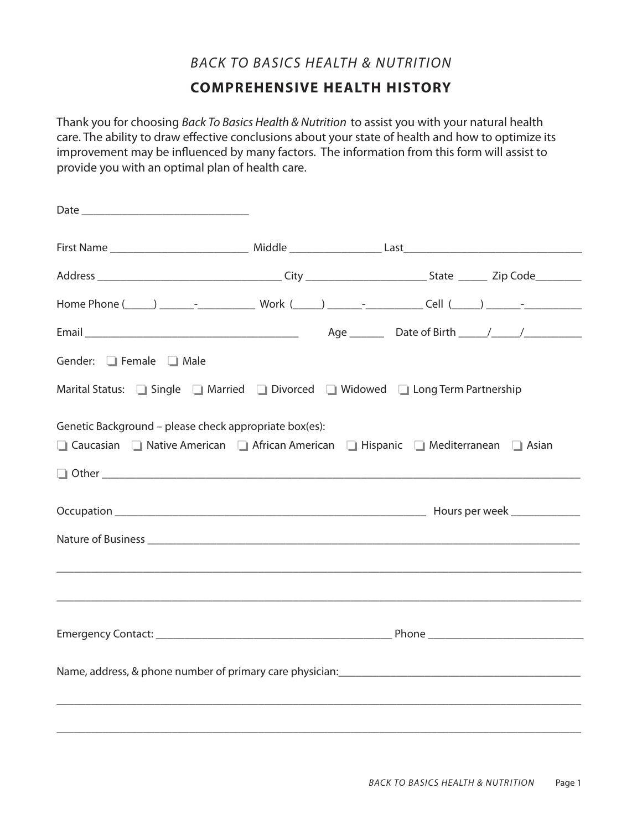### *BACK TO BASICS HEALTH & NUTRITION*

## **COMPREHENSIVE HEALTH HISTORY**

Thank you for choosing *Back To Basics Health & Nutrition* to assist you with your natural health care. The ability to draw effective conclusions about your state of health and how to optimize its improvement may be influenced by many factors. The information from this form will assist to provide you with an optimal plan of health care.

| Gender: Female 1 Male                                                                                                                         |  |  |
|-----------------------------------------------------------------------------------------------------------------------------------------------|--|--|
| Marital Status: Single Married Divorced Widowed Diang Term Partnership                                                                        |  |  |
| Genetic Background - please check appropriate box(es):<br>□ Caucasian □ Native American □ African American □ Hispanic □ Mediterranean □ Asian |  |  |
|                                                                                                                                               |  |  |
|                                                                                                                                               |  |  |
|                                                                                                                                               |  |  |
|                                                                                                                                               |  |  |
|                                                                                                                                               |  |  |
| ,我们也不能在这里的人,我们也不能在这里的人,我们也不能在这里的人,我们也不能在这里的人,我们也不能在这里的人,我们也不能在这里的人,我们也不能在这里的人,我们也                                                             |  |  |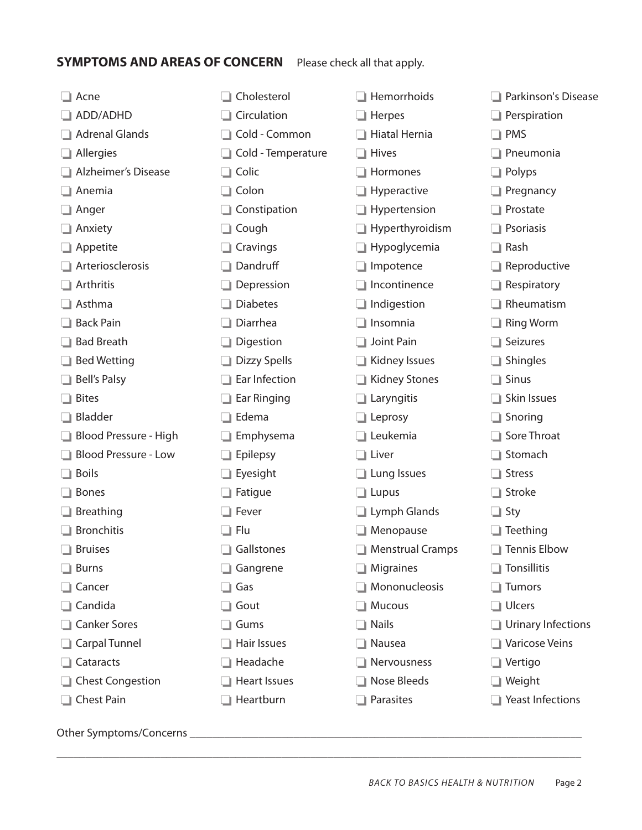# **SYMPTOMS AND AREAS OF CONCERN** Please check all that apply.

| Acne                          | Cholesterol         | Hemorrhoids          | Parkinson's Disease       |
|-------------------------------|---------------------|----------------------|---------------------------|
| ADD/ADHD                      | Circulation         | Herpes               | Perspiration              |
| <b>Adrenal Glands</b>         | Cold - Common       | Hiatal Hernia        | <b>PMS</b>                |
| Allergies                     | Cold - Temperature  | <b>Hives</b>         | Pneumonia                 |
| <b>Alzheimer's Disease</b>    | Colic<br>$\Box$     | Hormones             | Polyps                    |
| Anemia                        | Colon<br>u.         | Hyperactive          | Pregnancy                 |
| Anger                         | Constipation        | Hypertension         | Prostate                  |
| Anxiety                       | Cough               | Hyperthyroidism      | Psoriasis                 |
| Appetite                      | Cravings            | Hypoglycemia         | Rash<br>L.                |
| Arteriosclerosis              | Dandruff            | Impotence            | Reproductive              |
| Arthritis                     | Depression          | Incontinence         | Respiratory               |
| Asthma                        | <b>Diabetes</b>     | Indigestion          | Rheumatism                |
| <b>Back Pain</b>              | Diarrhea            | Insomnia             | <b>Ring Worm</b>          |
| <b>Bad Breath</b>             | Digestion           | Joint Pain           | Seizures                  |
| <b>Bed Wetting</b>            | Dizzy Spells        | Kidney Issues        | Shingles                  |
| <b>Bell's Palsy</b>           | Ear Infection       | <b>Kidney Stones</b> | <b>Sinus</b>              |
| <b>Bites</b>                  | Ear Ringing         | Laryngitis           | Skin Issues               |
| <b>Bladder</b>                | Edema               | $\Box$ Leprosy       | Snoring                   |
| Blood Pressure - High         | Emphysema           | Leukemia             | Sore Throat               |
| <b>Blood Pressure - Low</b>   | Epilepsy            | $\Box$ Liver         | Stomach                   |
| <b>Boils</b>                  | Eyesight            | $\Box$ Lung Issues   | <b>Stress</b>             |
| <b>Bones</b>                  | Fatigue             | $\Box$ Lupus         | Stroke                    |
| Breathing                     | Fever               | Lymph Glands         | Sty<br>$\Box$             |
| <b>Bronchitis</b>             | Flu<br>- 1          | Menopause            | Teething                  |
| <b>Bruises</b><br>J.          | Gallstones          | Menstrual Cramps     | $\Box$ Tennis Elbow       |
| <b>Burns</b><br>H.            | Gangrene<br>$\Box$  | $\Box$ Migraines     | $\Box$ Tonsillitis        |
| Cancer<br>J.                  | Gas<br>$\Box$       | Mononucleosis        | $\Box$ Tumors             |
| Candida<br>п.                 | Gout<br>- 1         | $\Box$ Mucous        | □ Ulcers                  |
| <b>Canker Sores</b><br>п.     | $\Box$ Gums         | $\Box$ Nails         | $\Box$ Urinary Infections |
| Carpal Tunnel                 | Hair Issues         | Nausea               | Varicose Veins            |
| Cataracts                     | Headache            | Rervousness          | $\Box$ Vertigo            |
| <b>Chest Congestion</b>       | <b>Heart Issues</b> | □ Nose Bleeds        | $\Box$ Weight             |
| Chest Pain                    | Heartburn           | $\Box$ Parasites     | $\Box$ Yeast Infections   |
| Other Symptoms/Concerns _____ |                     |                      |                           |

\_\_\_\_\_\_\_\_\_\_\_\_\_\_\_\_\_\_\_\_\_\_\_\_\_\_\_\_\_\_\_\_\_\_\_\_\_\_\_\_\_\_\_\_\_\_\_\_\_\_\_\_\_\_\_\_\_\_\_\_\_\_\_\_\_\_\_\_\_\_\_\_\_\_\_\_\_\_\_\_\_\_\_\_\_\_\_\_\_\_\_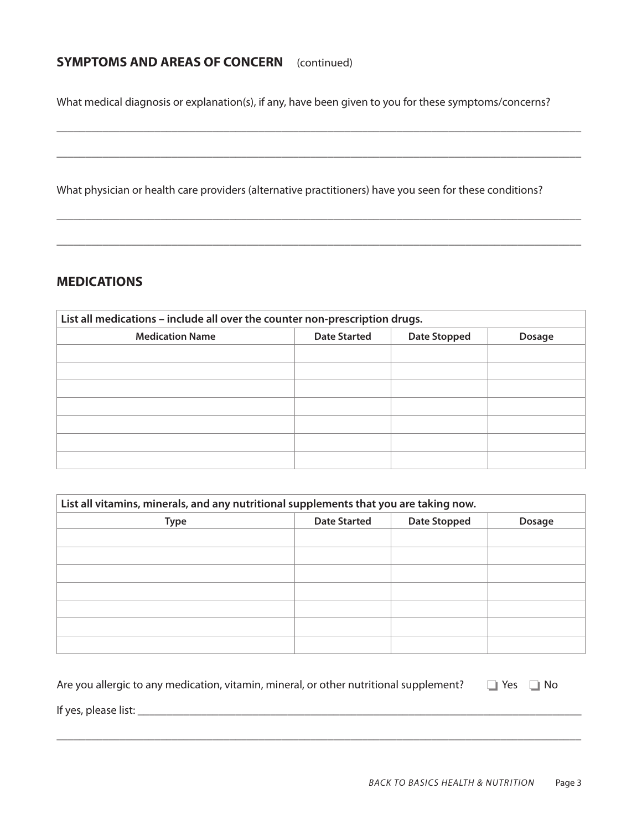### **SYMPTOMS AND AREAS OF CONCERN** (continued)

What medical diagnosis or explanation(s), if any, have been given to you for these symptoms/concerns?

\_\_\_\_\_\_\_\_\_\_\_\_\_\_\_\_\_\_\_\_\_\_\_\_\_\_\_\_\_\_\_\_\_\_\_\_\_\_\_\_\_\_\_\_\_\_\_\_\_\_\_\_\_\_\_\_\_\_\_\_\_\_\_\_\_\_\_\_\_\_\_\_\_\_\_\_\_\_\_\_\_\_\_\_\_\_\_\_\_\_\_

\_\_\_\_\_\_\_\_\_\_\_\_\_\_\_\_\_\_\_\_\_\_\_\_\_\_\_\_\_\_\_\_\_\_\_\_\_\_\_\_\_\_\_\_\_\_\_\_\_\_\_\_\_\_\_\_\_\_\_\_\_\_\_\_\_\_\_\_\_\_\_\_\_\_\_\_\_\_\_\_\_\_\_\_\_\_\_\_\_\_\_

\_\_\_\_\_\_\_\_\_\_\_\_\_\_\_\_\_\_\_\_\_\_\_\_\_\_\_\_\_\_\_\_\_\_\_\_\_\_\_\_\_\_\_\_\_\_\_\_\_\_\_\_\_\_\_\_\_\_\_\_\_\_\_\_\_\_\_\_\_\_\_\_\_\_\_\_\_\_\_\_\_\_\_\_\_\_\_\_\_\_\_

\_\_\_\_\_\_\_\_\_\_\_\_\_\_\_\_\_\_\_\_\_\_\_\_\_\_\_\_\_\_\_\_\_\_\_\_\_\_\_\_\_\_\_\_\_\_\_\_\_\_\_\_\_\_\_\_\_\_\_\_\_\_\_\_\_\_\_\_\_\_\_\_\_\_\_\_\_\_\_\_\_\_\_\_\_\_\_\_\_\_\_

What physician or health care providers (alternative practitioners) have you seen for these conditions?

#### **MEDICATIONS**

| List all medications - include all over the counter non-prescription drugs. |                     |                     |        |  |  |
|-----------------------------------------------------------------------------|---------------------|---------------------|--------|--|--|
| <b>Medication Name</b>                                                      | <b>Date Started</b> | <b>Date Stopped</b> | Dosage |  |  |
|                                                                             |                     |                     |        |  |  |
|                                                                             |                     |                     |        |  |  |
|                                                                             |                     |                     |        |  |  |
|                                                                             |                     |                     |        |  |  |
|                                                                             |                     |                     |        |  |  |
|                                                                             |                     |                     |        |  |  |
|                                                                             |                     |                     |        |  |  |

| List all vitamins, minerals, and any nutritional supplements that you are taking now. |                     |                     |               |  |  |
|---------------------------------------------------------------------------------------|---------------------|---------------------|---------------|--|--|
| <b>Type</b>                                                                           | <b>Date Started</b> | <b>Date Stopped</b> | <b>Dosage</b> |  |  |
|                                                                                       |                     |                     |               |  |  |
|                                                                                       |                     |                     |               |  |  |
|                                                                                       |                     |                     |               |  |  |
|                                                                                       |                     |                     |               |  |  |
|                                                                                       |                     |                     |               |  |  |
|                                                                                       |                     |                     |               |  |  |
|                                                                                       |                     |                     |               |  |  |

| Are you allergic to any medication, vitamin, mineral, or other nutritional supplement? $\Box$ Yes $\Box$ No |  |  |
|-------------------------------------------------------------------------------------------------------------|--|--|
|-------------------------------------------------------------------------------------------------------------|--|--|

\_\_\_\_\_\_\_\_\_\_\_\_\_\_\_\_\_\_\_\_\_\_\_\_\_\_\_\_\_\_\_\_\_\_\_\_\_\_\_\_\_\_\_\_\_\_\_\_\_\_\_\_\_\_\_\_\_\_\_\_\_\_\_\_\_\_\_\_\_\_\_\_\_\_\_\_\_\_\_\_\_\_\_\_\_\_\_\_\_\_\_

If yes, please list: \_\_\_\_\_\_\_\_\_\_\_\_\_\_\_\_\_\_\_\_\_\_\_\_\_\_\_\_\_\_\_\_\_\_\_\_\_\_\_\_\_\_\_\_\_\_\_\_\_\_\_\_\_\_\_\_\_\_\_\_\_\_\_\_\_\_\_\_\_\_\_\_\_\_\_\_\_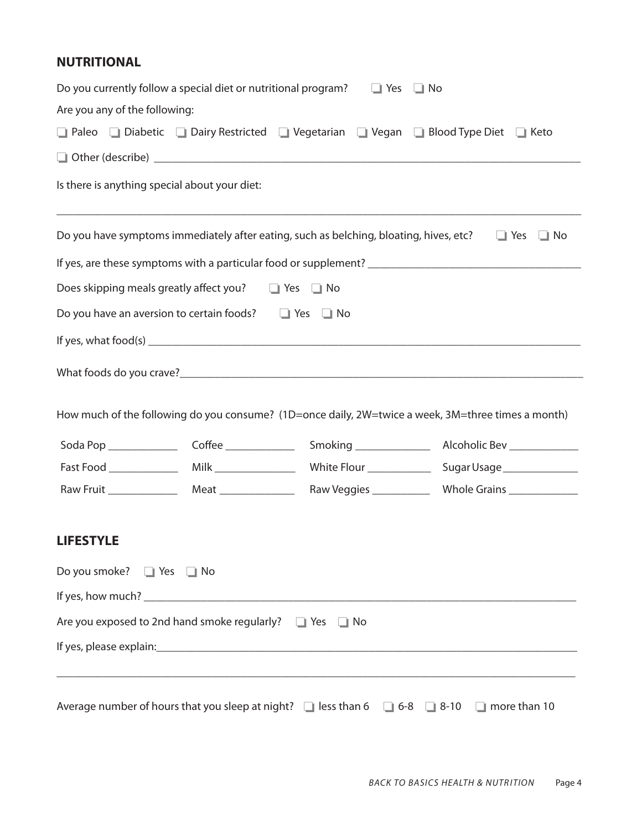#### **NUTRITIONAL**

|                                    |                                                                   | Do you currently follow a special diet or nutritional program? $\Box$ Yes $\Box$ No    |                                                                                                                |
|------------------------------------|-------------------------------------------------------------------|----------------------------------------------------------------------------------------|----------------------------------------------------------------------------------------------------------------|
| Are you any of the following:      |                                                                   |                                                                                        |                                                                                                                |
|                                    |                                                                   |                                                                                        | □ Paleo □ Diabetic □ Dairy Restricted □ Vegetarian □ Vegan □ Blood Type Diet □ Keto                            |
|                                    |                                                                   |                                                                                        |                                                                                                                |
|                                    | Is there is anything special about your diet:                     |                                                                                        |                                                                                                                |
|                                    |                                                                   | Do you have symptoms immediately after eating, such as belching, bloating, hives, etc? | $\Box$ Yes<br>$\Box$ No                                                                                        |
|                                    |                                                                   |                                                                                        |                                                                                                                |
|                                    | Does skipping meals greatly affect you? $\Box$ Yes $\Box$ No      |                                                                                        |                                                                                                                |
|                                    | Do you have an aversion to certain foods? $\Box$ Yes $\Box$ No    |                                                                                        |                                                                                                                |
|                                    |                                                                   |                                                                                        |                                                                                                                |
|                                    |                                                                   |                                                                                        | How much of the following do you consume? (1D=once daily, 2W=twice a week, 3M=three times a month)             |
|                                    |                                                                   |                                                                                        |                                                                                                                |
|                                    |                                                                   |                                                                                        |                                                                                                                |
|                                    |                                                                   |                                                                                        |                                                                                                                |
| <b>LIFESTYLE</b>                   |                                                                   |                                                                                        |                                                                                                                |
| Do you smoke? $\Box$ Yes $\Box$ No |                                                                   |                                                                                        |                                                                                                                |
|                                    |                                                                   |                                                                                        |                                                                                                                |
|                                    | Are you exposed to 2nd hand smoke regularly? $\Box$ Yes $\Box$ No |                                                                                        |                                                                                                                |
|                                    |                                                                   |                                                                                        |                                                                                                                |
|                                    |                                                                   |                                                                                        | Average number of hours that you sleep at night? $\Box$ less than 6 $\Box$ 6-8 $\Box$ 8-10 $\Box$ more than 10 |